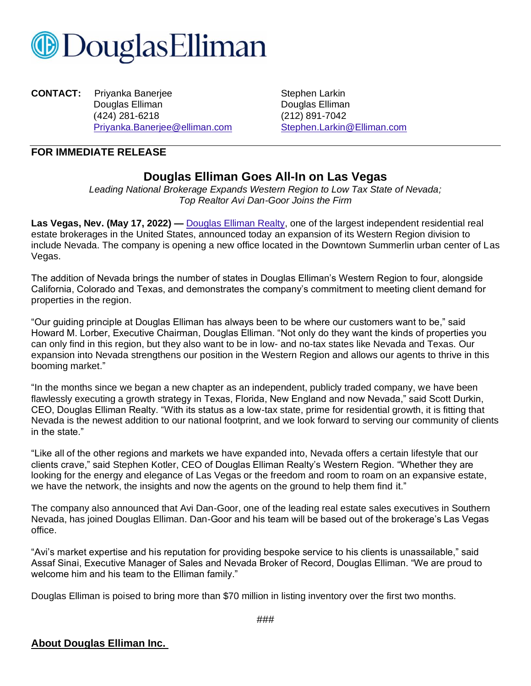

**CONTACT:** Priyanka Banerjee **New Stephen Larkin** Douglas Elliman **Douglas Elliman** (424) 281-6218 (212) 891-7042 [Priyanka.Banerjee@elliman.com](mailto:Priyanka.Banerjee@elliman.com) [Stephen.Larkin@Elliman.com](mailto:Stephen.Larkin@Elliman.com)

## **FOR IMMEDIATE RELEASE**

## **Douglas Elliman Goes All-In on Las Vegas**

*Leading National Brokerage Expands Western Region to Low Tax State of Nevada; Top Realtor Avi Dan-Goor Joins the Firm*

**Las Vegas, Nev. (May 17, 2022) —** [Douglas Elliman Realty,](https://www.elliman.com/) one of the largest independent residential real estate brokerages in the United States, announced today an expansion of its Western Region division to include Nevada. The company is opening a new office located in the Downtown Summerlin urban center of Las Vegas.

The addition of Nevada brings the number of states in Douglas Elliman's Western Region to four, alongside California, Colorado and Texas, and demonstrates the company's commitment to meeting client demand for properties in the region.

"Our guiding principle at Douglas Elliman has always been to be where our customers want to be," said Howard M. Lorber, Executive Chairman, Douglas Elliman. "Not only do they want the kinds of properties you can only find in this region, but they also want to be in low- and no-tax states like Nevada and Texas. Our expansion into Nevada strengthens our position in the Western Region and allows our agents to thrive in this booming market."

"In the months since we began a new chapter as an independent, publicly traded company, we have been flawlessly executing a growth strategy in Texas, Florida, New England and now Nevada," said Scott Durkin, CEO, Douglas Elliman Realty. "With its status as a low-tax state, prime for residential growth, it is fitting that Nevada is the newest addition to our national footprint, and we look forward to serving our community of clients in the state."

"Like all of the other regions and markets we have expanded into, Nevada offers a certain lifestyle that our clients crave," said Stephen Kotler, CEO of Douglas Elliman Realty's Western Region. "Whether they are looking for the energy and elegance of Las Vegas or the freedom and room to roam on an expansive estate, we have the network, the insights and now the agents on the ground to help them find it."

The company also announced that Avi Dan-Goor, one of the leading real estate sales executives in Southern Nevada, has joined Douglas Elliman. Dan-Goor and his team will be based out of the brokerage's Las Vegas office.

"Avi's market expertise and his reputation for providing bespoke service to his clients is unassailable," said Assaf Sinai, Executive Manager of Sales and Nevada Broker of Record, Douglas Elliman. "We are proud to welcome him and his team to the Elliman family."

Douglas Elliman is poised to bring more than \$70 million in listing inventory over the first two months.

## **About Douglas Elliman Inc.**